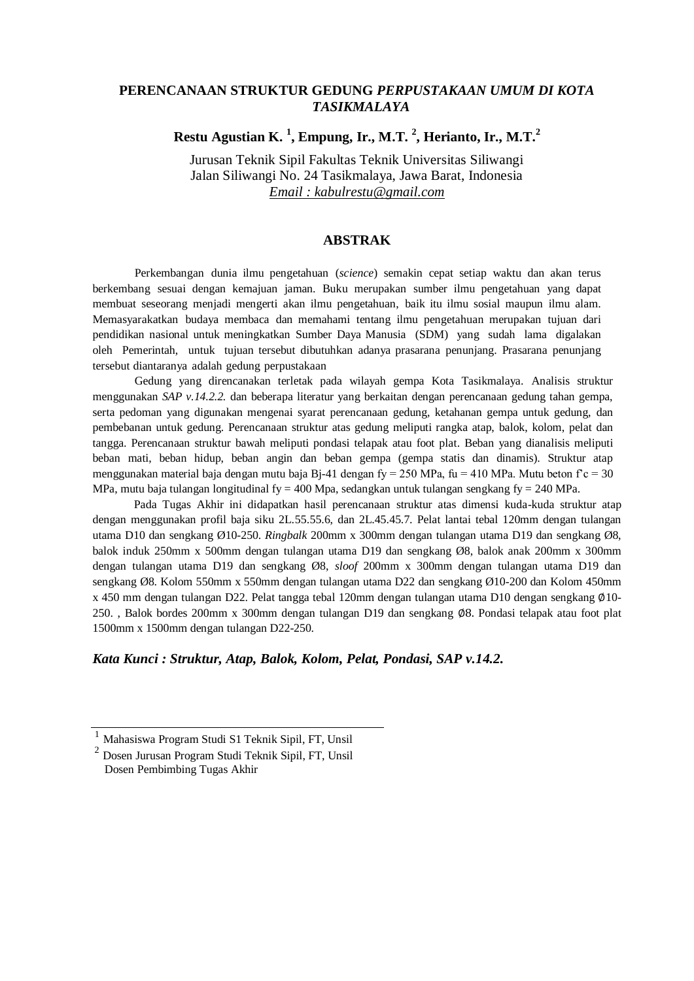## **PERENCANAAN STRUKTUR GEDUNG** *PERPUSTAKAAN UMUM DI KOTA TASIKMALAYA*

## **Restu Agustian K. <sup>1</sup> , Empung, Ir., M.T. <sup>2</sup> , Herianto, Ir., M.T.<sup>2</sup>**

Jurusan Teknik Sipil Fakultas Teknik Universitas Siliwangi Jalan Siliwangi No. 24 Tasikmalaya, Jawa Barat, Indonesia *Email : kabulrestu@gmail.com*

## **ABSTRAK**

Perkembangan dunia ilmu pengetahuan (*science*) semakin cepat setiap waktu dan akan terus berkembang sesuai dengan kemajuan jaman. Buku merupakan sumber ilmu pengetahuan yang dapat membuat seseorang menjadi mengerti akan ilmu pengetahuan, baik itu ilmu sosial maupun ilmu alam. Memasyarakatkan budaya membaca dan memahami tentang ilmu pengetahuan merupakan tujuan dari pendidikan nasional untuk meningkatkan Sumber Daya Manusia (SDM) yang sudah lama digalakan oleh Pemerintah, untuk tujuan tersebut dibutuhkan adanya prasarana penunjang. Prasarana penunjang tersebut diantaranya adalah gedung perpustakaan

Gedung yang direncanakan terletak pada wilayah gempa Kota Tasikmalaya. Analisis struktur menggunakan *SAP v.14.2.2.* dan beberapa literatur yang berkaitan dengan perencanaan gedung tahan gempa, serta pedoman yang digunakan mengenai syarat perencanaan gedung, ketahanan gempa untuk gedung, dan pembebanan untuk gedung. Perencanaan struktur atas gedung meliputi rangka atap, balok, kolom, pelat dan tangga. Perencanaan struktur bawah meliputi pondasi telapak atau foot plat. Beban yang dianalisis meliputi beban mati, beban hidup, beban angin dan beban gempa (gempa statis dan dinamis). Struktur atap menggunakan material baja dengan mutu baja Bj-41 dengan fy = 250 MPa, fu = 410 MPa. Mutu beton f'c = 30 MPa, mutu baja tulangan longitudinal fy = 400 Mpa, sedangkan untuk tulangan sengkang fy = 240 MPa.

Pada Tugas Akhir ini didapatkan hasil perencanaan struktur atas dimensi kuda-kuda struktur atap dengan menggunakan profil baja siku 2L.55.55.6, dan 2L.45.45.7. Pelat lantai tebal 120mm dengan tulangan utama D10 dan sengkang Ø10-250. *Ringbalk* 200mm x 300mm dengan tulangan utama D19 dan sengkang Ø8, balok induk 250mm x 500mm dengan tulangan utama D19 dan sengkang Ø8, balok anak 200mm x 300mm dengan tulangan utama D19 dan sengkang Ø8, *sloof* 200mm x 300mm dengan tulangan utama D19 dan sengkang Ø8. Kolom 550mm x 550mm dengan tulangan utama D22 dan sengkang Ø10-200 dan Kolom 450mm x 450 mm dengan tulangan D22. Pelat tangga tebal 120mm dengan tulangan utama D10 dengan sengkang Ø10-250. , Balok bordes 200mm x 300mm dengan tulangan D19 dan sengkang ∅8. Pondasi telapak atau foot plat 1500mm x 1500mm dengan tulangan D22-250.

*Kata Kunci : Struktur, Atap, Balok, Kolom, Pelat, Pondasi, SAP v.14.2.*

<sup>1</sup> Mahasiswa Program Studi S1 Teknik Sipil, FT, Unsil

<sup>2</sup> Dosen Jurusan Program Studi Teknik Sipil, FT, Unsil Dosen Pembimbing Tugas Akhir